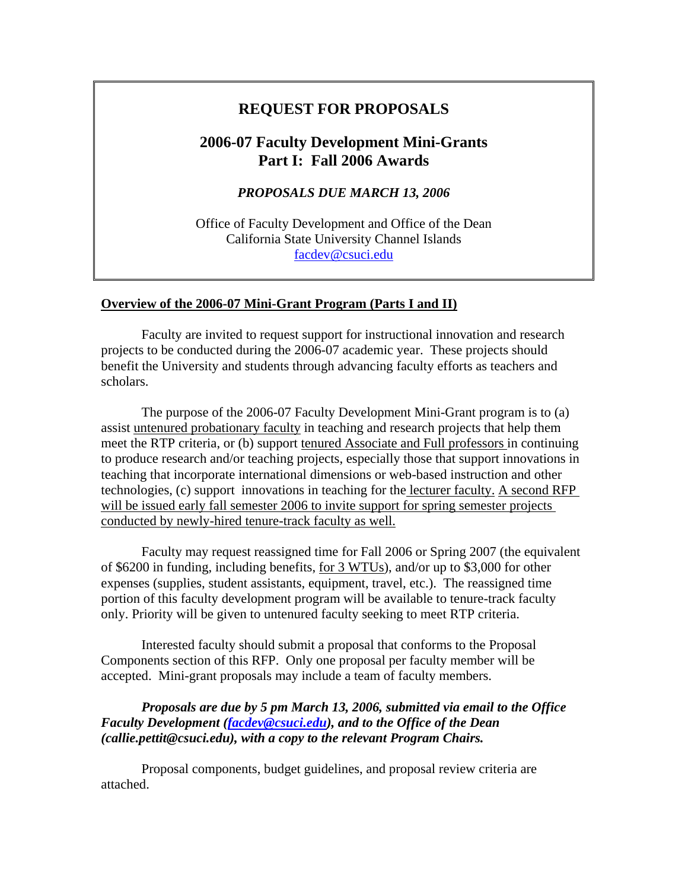# **REQUEST FOR PROPOSALS**

# **2006-07 Faculty Development Mini-Grants Part I: Fall 2006 Awards**

*PROPOSALS DUE MARCH 13, 2006* 

Office of Faculty Development and Office of the Dean California State University Channel Islands [facdev@csuci.edu](mailto:facdev@csuci.edu)

#### **Overview of the 2006-07 Mini-Grant Program (Parts I and II)**

Faculty are invited to request support for instructional innovation and research projects to be conducted during the 2006-07 academic year. These projects should benefit the University and students through advancing faculty efforts as teachers and scholars.

The purpose of the 2006-07 Faculty Development Mini-Grant program is to (a) assist untenured probationary faculty in teaching and research projects that help them meet the RTP criteria, or (b) support tenured Associate and Full professors in continuing to produce research and/or teaching projects, especially those that support innovations in teaching that incorporate international dimensions or web-based instruction and other technologies, (c) support innovations in teaching for the lecturer faculty. A second RFP will be issued early fall semester 2006 to invite support for spring semester projects conducted by newly-hired tenure-track faculty as well.

Faculty may request reassigned time for Fall 2006 or Spring 2007 (the equivalent of \$6200 in funding, including benefits, for 3 WTUs), and/or up to \$3,000 for other expenses (supplies, student assistants, equipment, travel, etc.). The reassigned time portion of this faculty development program will be available to tenure-track faculty only. Priority will be given to untenured faculty seeking to meet RTP criteria.

Interested faculty should submit a proposal that conforms to the Proposal Components section of this RFP. Only one proposal per faculty member will be accepted. Mini-grant proposals may include a team of faculty members.

*Proposals are due by 5 pm March 13, 2006, submitted via email to the Office Faculty Development ([facdev@csuci.edu\)](mailto:facdev@csuci.edu), and to the Office of the Dean (callie.pettit@csuci.edu), with a copy to the relevant Program Chairs.*

Proposal components, budget guidelines, and proposal review criteria are attached.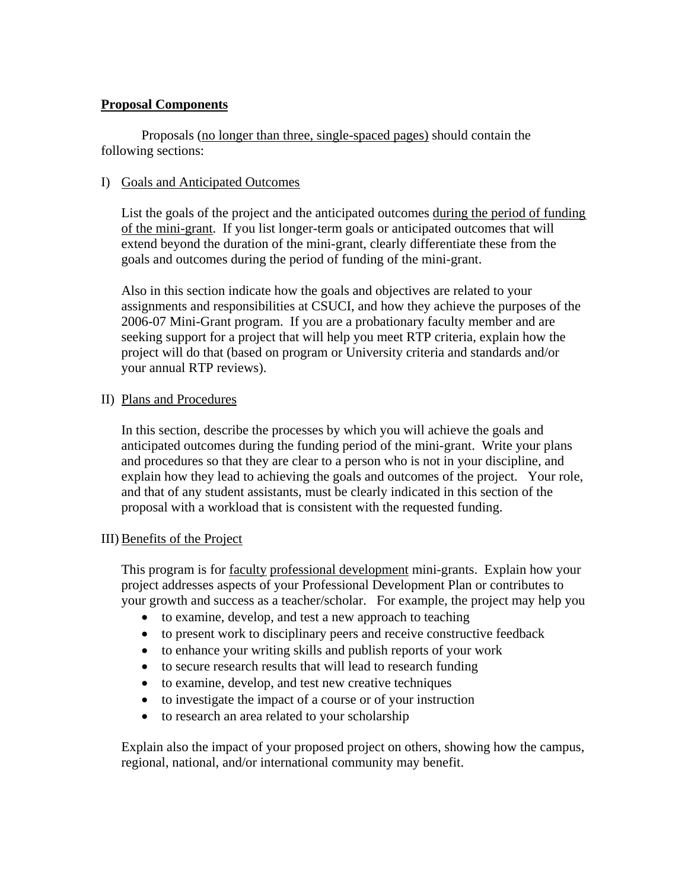## **Proposal Components**

Proposals (no longer than three, single-spaced pages) should contain the following sections:

### I) Goals and Anticipated Outcomes

List the goals of the project and the anticipated outcomes during the period of funding of the mini-grant. If you list longer-term goals or anticipated outcomes that will extend beyond the duration of the mini-grant, clearly differentiate these from the goals and outcomes during the period of funding of the mini-grant.

Also in this section indicate how the goals and objectives are related to your assignments and responsibilities at CSUCI, and how they achieve the purposes of the 2006-07 Mini-Grant program. If you are a probationary faculty member and are seeking support for a project that will help you meet RTP criteria, explain how the project will do that (based on program or University criteria and standards and/or your annual RTP reviews).

#### II) Plans and Procedures

In this section, describe the processes by which you will achieve the goals and anticipated outcomes during the funding period of the mini-grant. Write your plans and procedures so that they are clear to a person who is not in your discipline, and explain how they lead to achieving the goals and outcomes of the project. Your role, and that of any student assistants, must be clearly indicated in this section of the proposal with a workload that is consistent with the requested funding.

#### III) Benefits of the Project

This program is for faculty professional development mini-grants. Explain how your project addresses aspects of your Professional Development Plan or contributes to your growth and success as a teacher/scholar. For example, the project may help you

- to examine, develop, and test a new approach to teaching
- to present work to disciplinary peers and receive constructive feedback
- to enhance your writing skills and publish reports of your work
- to secure research results that will lead to research funding
- to examine, develop, and test new creative techniques
- to investigate the impact of a course or of your instruction
- to research an area related to your scholarship

Explain also the impact of your proposed project on others, showing how the campus, regional, national, and/or international community may benefit.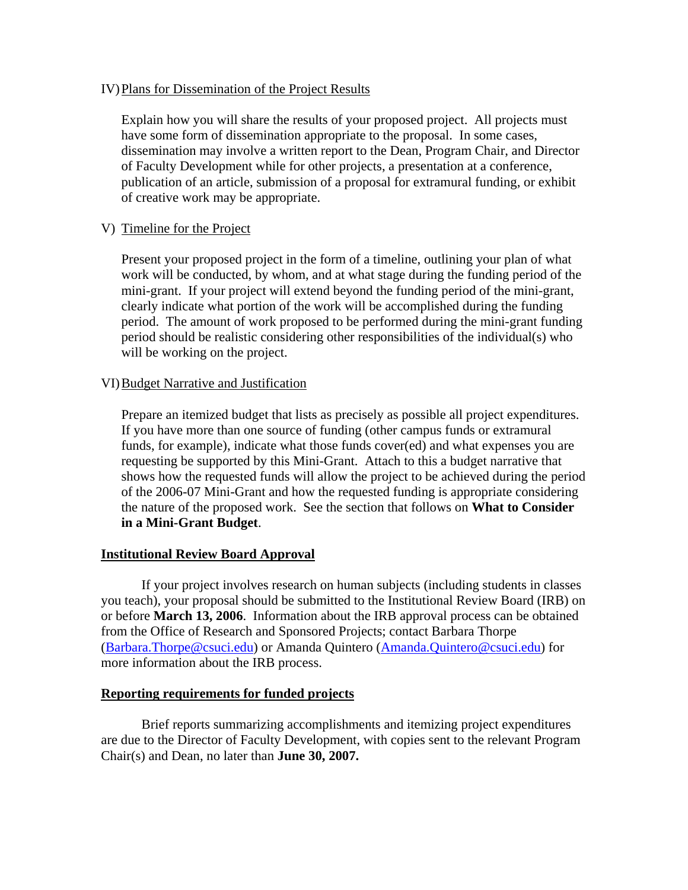#### IV)Plans for Dissemination of the Project Results

Explain how you will share the results of your proposed project. All projects must have some form of dissemination appropriate to the proposal. In some cases, dissemination may involve a written report to the Dean, Program Chair, and Director of Faculty Development while for other projects, a presentation at a conference, publication of an article, submission of a proposal for extramural funding, or exhibit of creative work may be appropriate.

#### V) Timeline for the Project

Present your proposed project in the form of a timeline, outlining your plan of what work will be conducted, by whom, and at what stage during the funding period of the mini-grant. If your project will extend beyond the funding period of the mini-grant, clearly indicate what portion of the work will be accomplished during the funding period. The amount of work proposed to be performed during the mini-grant funding period should be realistic considering other responsibilities of the individual(s) who will be working on the project.

#### VI)Budget Narrative and Justification

Prepare an itemized budget that lists as precisely as possible all project expenditures. If you have more than one source of funding (other campus funds or extramural funds, for example), indicate what those funds cover(ed) and what expenses you are requesting be supported by this Mini-Grant. Attach to this a budget narrative that shows how the requested funds will allow the project to be achieved during the period of the 2006-07 Mini-Grant and how the requested funding is appropriate considering the nature of the proposed work. See the section that follows on **What to Consider in a Mini-Grant Budget**.

#### **Institutional Review Board Approval**

 If your project involves research on human subjects (including students in classes you teach), your proposal should be submitted to the Institutional Review Board (IRB) on or before **March 13, 2006**. Information about the IRB approval process can be obtained from the Office of Research and Sponsored Projects; contact Barbara Thorpe ([Barbara.Thorpe@csuci.edu\)](mailto:Barbara.Thorpe@csuci.edu) or Amanda Quintero ([Amanda.Quintero@csuci.edu](mailto:Amanda.Quintero@csuci.edu)) for more information about the IRB process.

#### **Reporting requirements for funded projects**

Brief reports summarizing accomplishments and itemizing project expenditures are due to the Director of Faculty Development, with copies sent to the relevant Program Chair(s) and Dean, no later than **June 30, 2007.**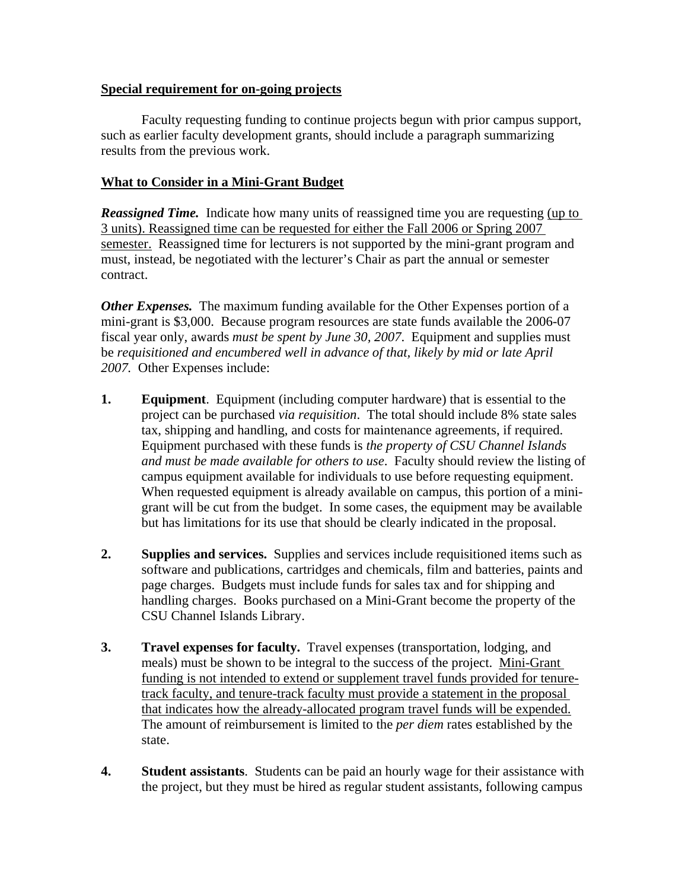#### **Special requirement for on-going projects**

Faculty requesting funding to continue projects begun with prior campus support, such as earlier faculty development grants, should include a paragraph summarizing results from the previous work.

## **What to Consider in a Mini-Grant Budget**

*Reassigned Time.* Indicate how many units of reassigned time you are requesting (up to 3 units). Reassigned time can be requested for either the Fall 2006 or Spring 2007 semester. Reassigned time for lecturers is not supported by the mini-grant program and must, instead, be negotiated with the lecturer's Chair as part the annual or semester contract.

*Other Expenses.* The maximum funding available for the Other Expenses portion of a mini-grant is \$3,000. Because program resources are state funds available the 2006-07 fiscal year only, awards *must be spent by June 30, 2007*. Equipment and supplies must be *requisitioned and encumbered well in advance of that, likely by mid or late April 2007.* Other Expenses include:

- **1. Equipment**. Equipment (including computer hardware) that is essential to the project can be purchased *via requisition*. The total should include 8% state sales tax, shipping and handling, and costs for maintenance agreements, if required. Equipment purchased with these funds is *the property of CSU Channel Islands and must be made available for others to use*. Faculty should review the listing of campus equipment available for individuals to use before requesting equipment. When requested equipment is already available on campus, this portion of a minigrant will be cut from the budget. In some cases, the equipment may be available but has limitations for its use that should be clearly indicated in the proposal.
- **2. Supplies and services.** Supplies and services include requisitioned items such as software and publications, cartridges and chemicals, film and batteries, paints and page charges. Budgets must include funds for sales tax and for shipping and handling charges. Books purchased on a Mini-Grant become the property of the CSU Channel Islands Library.
- **3. Travel expenses for faculty.** Travel expenses (transportation, lodging, and meals) must be shown to be integral to the success of the project. Mini-Grant funding is not intended to extend or supplement travel funds provided for tenuretrack faculty, and tenure-track faculty must provide a statement in the proposal that indicates how the already-allocated program travel funds will be expended. The amount of reimbursement is limited to the *per diem* rates established by the state.
- **4. Student assistants**. Students can be paid an hourly wage for their assistance with the project, but they must be hired as regular student assistants, following campus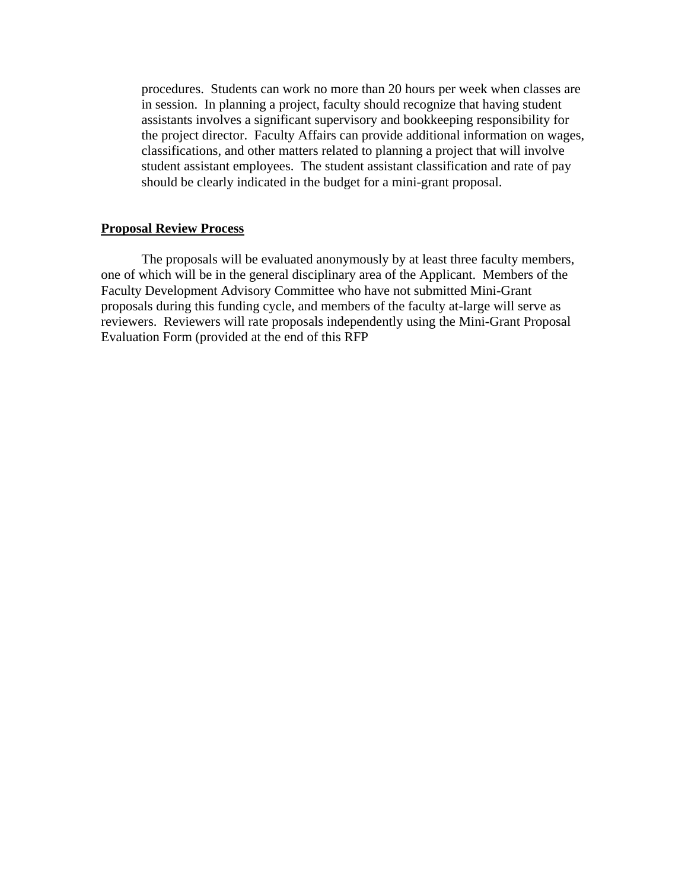procedures. Students can work no more than 20 hours per week when classes are in session. In planning a project, faculty should recognize that having student assistants involves a significant supervisory and bookkeeping responsibility for the project director. Faculty Affairs can provide additional information on wages, classifications, and other matters related to planning a project that will involve student assistant employees. The student assistant classification and rate of pay should be clearly indicated in the budget for a mini-grant proposal.

#### **Proposal Review Process**

The proposals will be evaluated anonymously by at least three faculty members, one of which will be in the general disciplinary area of the Applicant. Members of the Faculty Development Advisory Committee who have not submitted Mini-Grant proposals during this funding cycle, and members of the faculty at-large will serve as reviewers. Reviewers will rate proposals independently using the Mini-Grant Proposal Evaluation Form (provided at the end of this RFP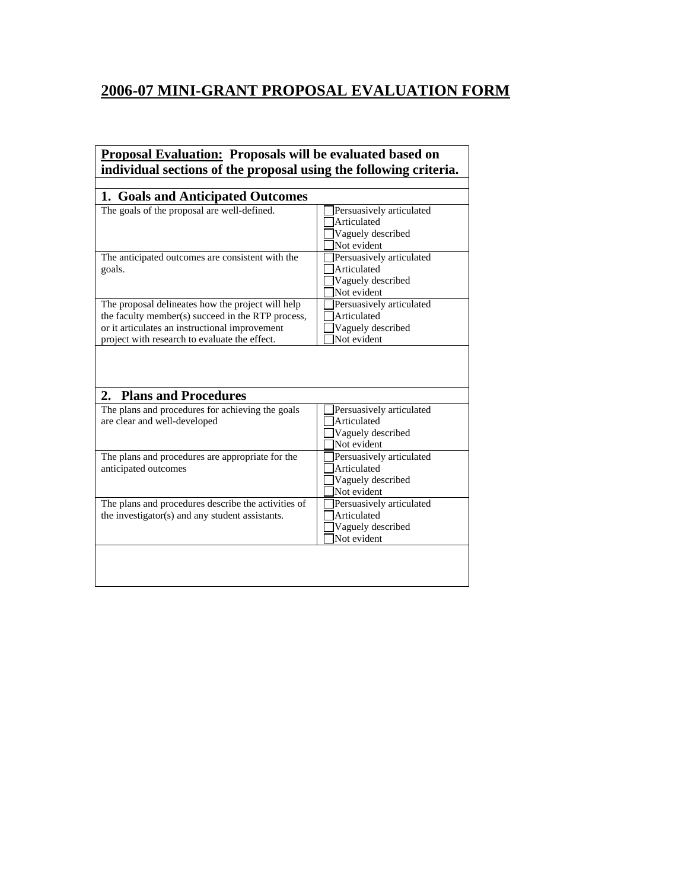# **2006-07 MINI-GRANT PROPOSAL EVALUATION FORM**

# **Proposal Evaluation: Proposals will be evaluated based on individual sections of the proposal using the following criteria.**

| 1. Goals and Anticipated Outcomes                                                                                                                                                                         |                                                                             |
|-----------------------------------------------------------------------------------------------------------------------------------------------------------------------------------------------------------|-----------------------------------------------------------------------------|
| The goals of the proposal are well-defined.                                                                                                                                                               | Persuasively articulated<br>Articulated<br>Vaguely described<br>Not evident |
| The anticipated outcomes are consistent with the<br>goals.                                                                                                                                                | Persuasively articulated<br>Articulated<br>Vaguely described<br>Not evident |
| The proposal delineates how the project will help<br>the faculty member(s) succeed in the RTP process,<br>or it articulates an instructional improvement<br>project with research to evaluate the effect. | Persuasively articulated<br>Articulated<br>Vaguely described<br>Not evident |
| <b>Plans and Procedures</b><br>2.                                                                                                                                                                         |                                                                             |
| The plans and procedures for achieving the goals<br>are clear and well-developed                                                                                                                          | Persuasively articulated<br>Articulated<br>Vaguely described<br>Not evident |
| The plans and procedures are appropriate for the<br>anticipated outcomes                                                                                                                                  | Persuasively articulated<br>Articulated<br>Vaguely described<br>Not evident |
| The plans and procedures describe the activities of<br>the investigator(s) and any student assistants.                                                                                                    | Persuasively articulated<br>Articulated<br>Vaguely described<br>Not evident |
|                                                                                                                                                                                                           |                                                                             |